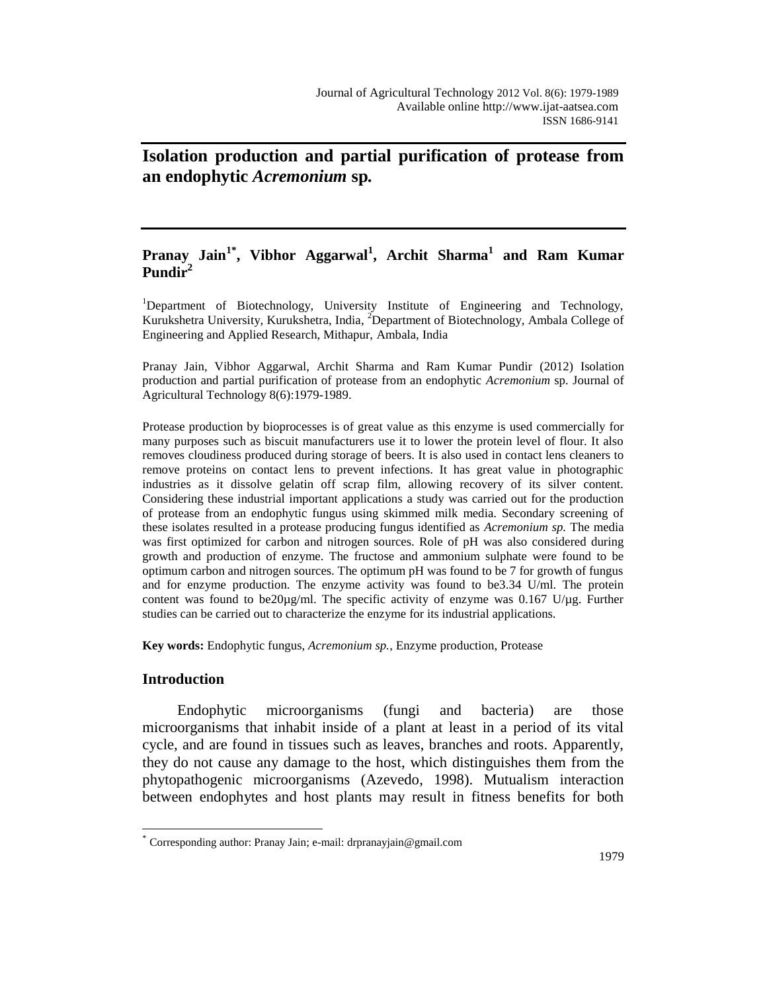# **Isolation production and partial purification of protease from an endophytic** *Acremonium* **sp***.*

# **Pranay Jain1\* , Vibhor Aggarwal<sup>1</sup> , Archit Sharma<sup>1</sup> and Ram Kumar Pundir<sup>2</sup>**

<sup>1</sup>Department of Biotechnology, University Institute of Engineering and Technology, Kurukshetra University, Kurukshetra, India, <sup>2</sup>Department of Biotechnology, Ambala College of Engineering and Applied Research, Mithapur, Ambala, India

Pranay Jain, Vibhor Aggarwal, Archit Sharma and Ram Kumar Pundir (2012) Isolation production and partial purification of protease from an endophytic *Acremonium* sp*.* Journal of Agricultural Technology 8(6):1979-1989.

Protease production by bioprocesses is of great value as this enzyme is used commercially for many purposes such as biscuit manufacturers use it to lower the protein level of flour. It also removes cloudiness produced during storage of beers. It is also used in contact lens cleaners to remove proteins on contact lens to prevent infections. It has great value in photographic industries as it dissolve gelatin off scrap film, allowing recovery of its silver content. Considering these industrial important applications a study was carried out for the production of protease from an endophytic fungus using skimmed milk media. Secondary screening of these isolates resulted in a protease producing fungus identified as *Acremonium sp.* The media was first optimized for carbon and nitrogen sources. Role of pH was also considered during growth and production of enzyme. The fructose and ammonium sulphate were found to be optimum carbon and nitrogen sources. The optimum pH was found to be 7 for growth of fungus and for enzyme production. The enzyme activity was found to be3.34 U/ml. The protein content was found to be20 $\mu$ g/ml. The specific activity of enzyme was 0.167 U/ $\mu$ g. Further studies can be carried out to characterize the enzyme for its industrial applications.

**Key words:** Endophytic fungus, *Acremonium sp.*, Enzyme production, Protease

# **Introduction**

 $\overline{a}$ 

Endophytic microorganisms (fungi and bacteria) are those microorganisms that inhabit inside of a plant at least in a period of its vital cycle, and are found in tissues such as leaves, branches and roots. Apparently, they do not cause any damage to the host, which distinguishes them from the phytopathogenic microorganisms (Azevedo, 1998). Mutualism interaction between endophytes and host plants may result in fitness benefits for both

<sup>\*</sup> Corresponding author: Pranay Jain; e-mail: drpranayjain@gmail.com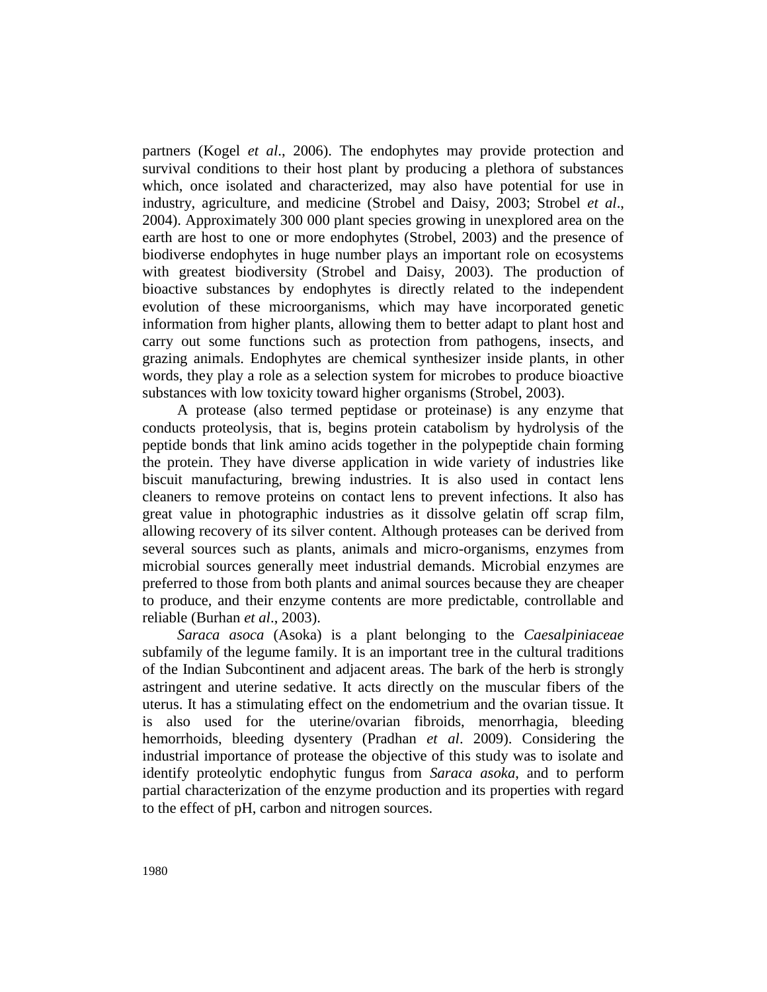partners (Kogel *et al*., 2006). The endophytes may provide protection and survival conditions to their host plant by producing a plethora of substances which, once isolated and characterized, may also have potential for use in industry, agriculture, and medicine (Strobel and Daisy, 2003; Strobel *et al*., 2004). Approximately 300 000 plant species growing in unexplored area on the earth are host to one or more endophytes (Strobel, 2003) and the presence of biodiverse endophytes in huge number plays an important role on ecosystems with greatest biodiversity (Strobel and Daisy, 2003). The production of bioactive substances by endophytes is directly related to the independent evolution of these microorganisms, which may have incorporated genetic information from higher plants, allowing them to better adapt to plant host and carry out some functions such as protection from pathogens, insects, and grazing animals. Endophytes are chemical synthesizer inside plants, in other words, they play a role as a selection system for microbes to produce bioactive substances with low toxicity toward higher organisms (Strobel, 2003).

A protease (also termed peptidase or proteinase) is any enzyme that conducts proteolysis, that is, begins protein catabolism by hydrolysis of the peptide bonds that link amino acids together in the polypeptide chain forming the protein. They have diverse application in wide variety of industries like biscuit manufacturing, brewing industries. It is also used in contact lens cleaners to remove proteins on contact lens to prevent infections. It also has great value in photographic industries as it dissolve gelatin off scrap film, allowing recovery of its silver content. Although proteases can be derived from several sources such as plants, animals and micro-organisms, enzymes from microbial sources generally meet industrial demands. Microbial enzymes are preferred to those from both plants and animal sources because they are cheaper to produce, and their enzyme contents are more predictable, controllable and reliable (Burhan *et al*., 2003).

*Saraca asoca* (Asoka) is a plant belonging to the *Caesalpiniaceae* subfamily of the legume family. It is an important tree in the cultural traditions of the Indian Subcontinent and adjacent areas. The bark of the herb is strongly astringent and uterine sedative. It acts directly on the muscular fibers of the uterus. It has a stimulating effect on the endometrium and the ovarian tissue. It is also used for the uterine/ovarian fibroids, menorrhagia, bleeding hemorrhoids, bleeding dysentery (Pradhan *et al*. 2009). Considering the industrial importance of protease the objective of this study was to isolate and identify proteolytic endophytic fungus from *Saraca asoka*, and to perform partial characterization of the enzyme production and its properties with regard to the effect of pH, carbon and nitrogen sources.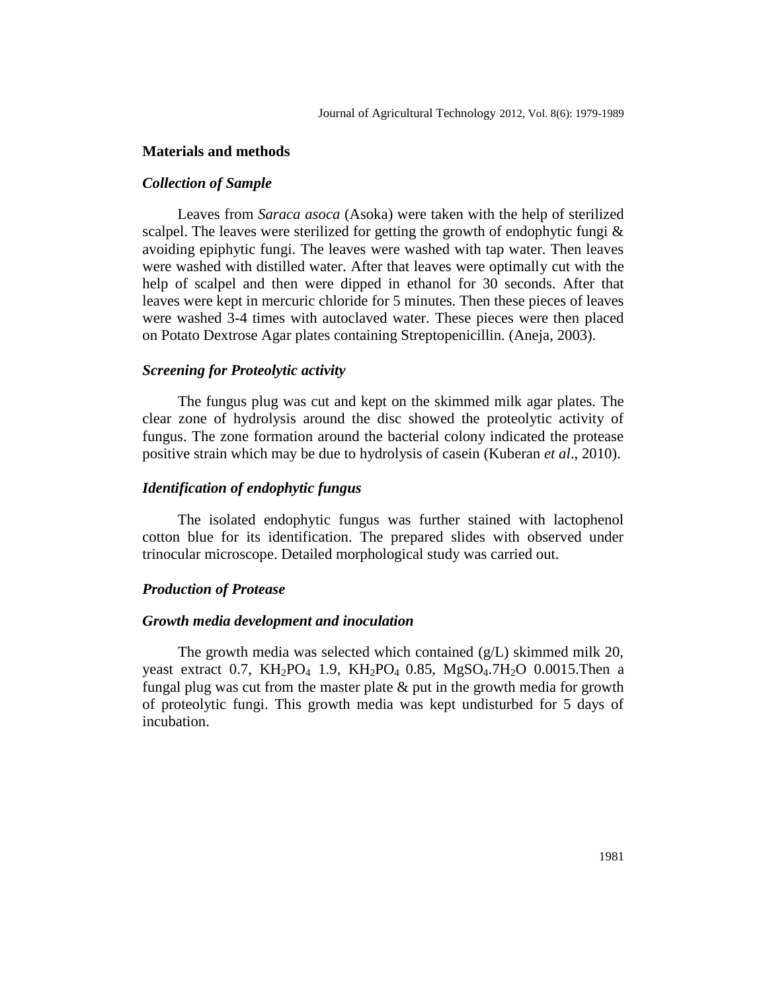## **Materials and methods**

# *Collection of Sample*

Leaves from *Saraca asoca* (Asoka) were taken with the help of sterilized scalpel. The leaves were sterilized for getting the growth of endophytic fungi  $\&$ avoiding epiphytic fungi. The leaves were washed with tap water. Then leaves were washed with distilled water. After that leaves were optimally cut with the help of scalpel and then were dipped in ethanol for 30 seconds. After that leaves were kept in mercuric chloride for 5 minutes. Then these pieces of leaves were washed 3-4 times with autoclaved water. These pieces were then placed on Potato Dextrose Agar plates containing Streptopenicillin. (Aneja, 2003).

#### *Screening for Proteolytic activity*

The fungus plug was cut and kept on the skimmed milk agar plates. The clear zone of hydrolysis around the disc showed the proteolytic activity of fungus. The zone formation around the bacterial colony indicated the protease positive strain which may be due to hydrolysis of casein (Kuberan *et al*., 2010).

#### *Identification of endophytic fungus*

The isolated endophytic fungus was further stained with lactophenol cotton blue for its identification. The prepared slides with observed under trinocular microscope. Detailed morphological study was carried out.

## *Production of Protease*

#### *Growth media development and inoculation*

The growth media was selected which contained (g/L) skimmed milk 20, yeast extract 0.7, KH<sub>2</sub>PO<sub>4</sub> 1.9, KH<sub>2</sub>PO<sub>4</sub> 0.85, MgSO<sub>4</sub>.7H<sub>2</sub>O 0.0015. Then a fungal plug was cut from the master plate  $\&$  put in the growth media for growth of proteolytic fungi. This growth media was kept undisturbed for 5 days of incubation.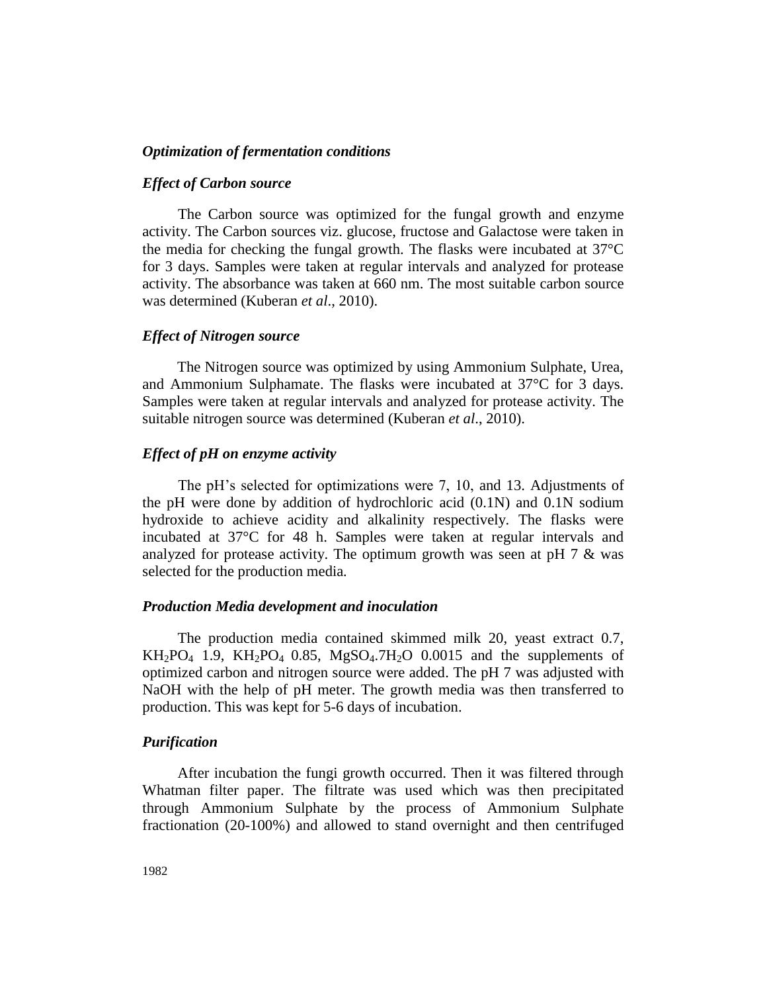# *Optimization of fermentation conditions*

#### *Effect of Carbon source*

The Carbon source was optimized for the fungal growth and enzyme activity. The Carbon sources viz. glucose, fructose and Galactose were taken in the media for checking the fungal growth. The flasks were incubated at 37°C for 3 days. Samples were taken at regular intervals and analyzed for protease activity. The absorbance was taken at 660 nm. The most suitable carbon source was determined (Kuberan *et al*., 2010).

#### *Effect of Nitrogen source*

The Nitrogen source was optimized by using Ammonium Sulphate, Urea, and Ammonium Sulphamate. The flasks were incubated at 37°C for 3 days. Samples were taken at regular intervals and analyzed for protease activity. The suitable nitrogen source was determined (Kuberan *et al*., 2010).

# *Effect of pH on enzyme activity*

The pH's selected for optimizations were 7, 10, and 13. Adjustments of the pH were done by addition of hydrochloric acid (0.1N) and 0.1N sodium hydroxide to achieve acidity and alkalinity respectively. The flasks were incubated at 37°C for 48 h. Samples were taken at regular intervals and analyzed for protease activity. The optimum growth was seen at pH 7 & was selected for the production media*.*

#### *Production Media development and inoculation*

The production media contained skimmed milk 20, yeast extract 0.7,  $KH_2PO_4$  1.9,  $KH_2PO_4$  0.85,  $MgSO_4.7H_2O$  0.0015 and the supplements of optimized carbon and nitrogen source were added. The pH 7 was adjusted with NaOH with the help of pH meter. The growth media was then transferred to production. This was kept for 5-6 days of incubation.

## *Purification*

After incubation the fungi growth occurred. Then it was filtered through Whatman filter paper. The filtrate was used which was then precipitated through Ammonium Sulphate by the process of Ammonium Sulphate fractionation (20-100%) and allowed to stand overnight and then centrifuged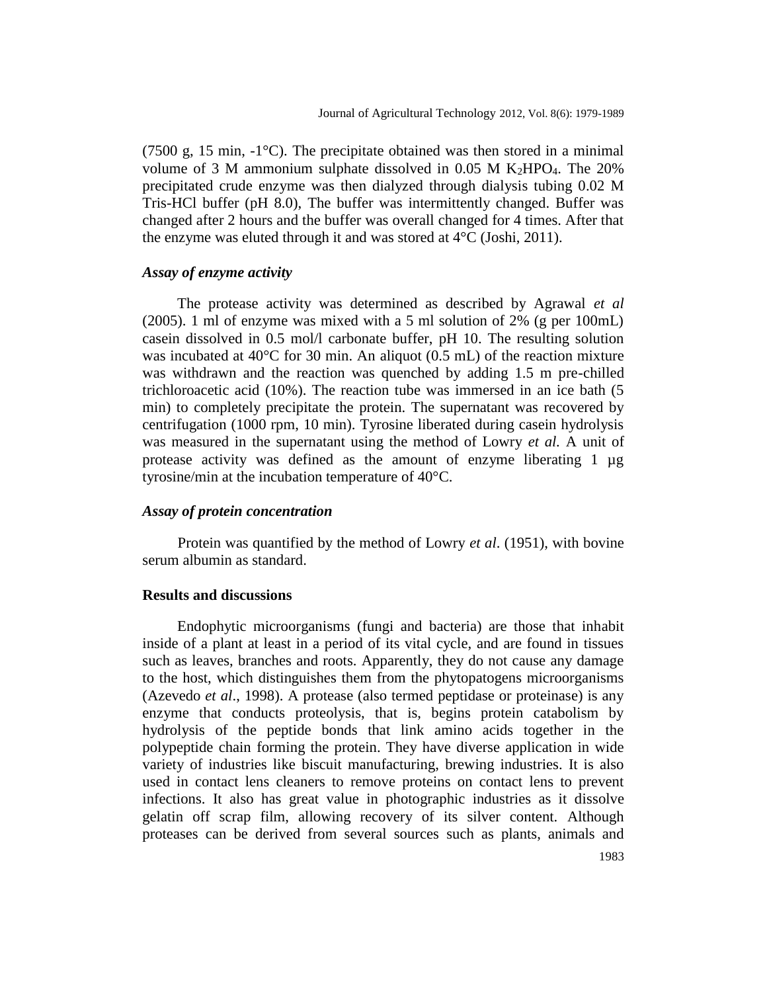(7500 g, 15 min, -1°C). The precipitate obtained was then stored in a minimal volume of 3 M ammonium sulphate dissolved in 0.05 M K<sub>2</sub>HPO<sub>4</sub>. The 20% precipitated crude enzyme was then dialyzed through dialysis tubing 0.02 M Tris-HCl buffer (pH 8.0), The buffer was intermittently changed. Buffer was changed after 2 hours and the buffer was overall changed for 4 times. After that the enzyme was eluted through it and was stored at 4°C (Joshi, 2011).

# *Assay of enzyme activity*

The protease activity was determined as described by Agrawal *et al* (2005). 1 ml of enzyme was mixed with a 5 ml solution of 2% (g per 100mL) casein dissolved in 0.5 mol/l carbonate buffer, pH 10. The resulting solution was incubated at  $40^{\circ}$ C for 30 min. An aliquot (0.5 mL) of the reaction mixture was withdrawn and the reaction was quenched by adding 1.5 m pre-chilled trichloroacetic acid (10%). The reaction tube was immersed in an ice bath (5 min) to completely precipitate the protein. The supernatant was recovered by centrifugation (1000 rpm, 10 min). Tyrosine liberated during casein hydrolysis was measured in the supernatant using the method of Lowry *et al.* A unit of protease activity was defined as the amount of enzyme liberating 1 µg tyrosine/min at the incubation temperature of 40°C.

#### *Assay of protein concentration*

Protein was quantified by the method of Lowry *et al*. (1951), with bovine serum albumin as standard.

#### **Results and discussions**

Endophytic microorganisms (fungi and bacteria) are those that inhabit inside of a plant at least in a period of its vital cycle, and are found in tissues such as leaves, branches and roots. Apparently, they do not cause any damage to the host, which distinguishes them from the phytopatogens microorganisms (Azevedo *et al*., 1998). A protease (also termed peptidase or proteinase) is any enzyme that conducts proteolysis, that is, begins protein catabolism by hydrolysis of the peptide bonds that link amino acids together in the polypeptide chain forming the protein. They have diverse application in wide variety of industries like biscuit manufacturing, brewing industries. It is also used in contact lens cleaners to remove proteins on contact lens to prevent infections. It also has great value in photographic industries as it dissolve gelatin off scrap film, allowing recovery of its silver content. Although proteases can be derived from several sources such as plants, animals and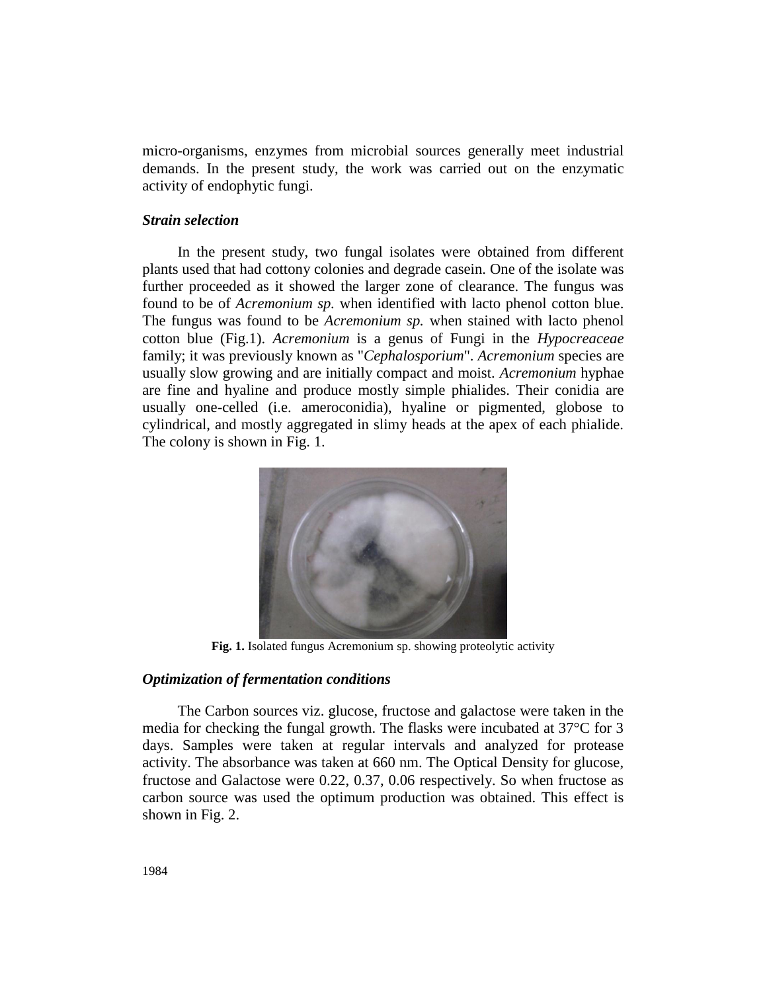micro-organisms, enzymes from microbial sources generally meet industrial demands. In the present study, the work was carried out on the enzymatic activity of endophytic fungi.

#### *Strain selection*

In the present study, two fungal isolates were obtained from different plants used that had cottony colonies and degrade casein. One of the isolate was further proceeded as it showed the larger zone of clearance. The fungus was found to be of *Acremonium sp.* when identified with lacto phenol cotton blue. The fungus was found to be *Acremonium sp.* when stained with lacto phenol cotton blue (Fig.1). *Acremonium* is a genus of Fungi in the *Hypocreaceae* family; it was previously known as "*Cephalosporium*". *Acremonium* species are usually slow growing and are initially compact and moist. *Acremonium* hyphae are fine and hyaline and produce mostly simple phialides. Their conidia are usually one-celled (i.e. ameroconidia), hyaline or pigmented, globose to cylindrical, and mostly aggregated in slimy heads at the apex of each phialide. The colony is shown in Fig. 1.



**Fig. 1.** Isolated fungus Acremonium sp. showing proteolytic activity

# *Optimization of fermentation conditions*

The Carbon sources viz. glucose, fructose and galactose were taken in the media for checking the fungal growth. The flasks were incubated at 37°C for 3 days. Samples were taken at regular intervals and analyzed for protease activity. The absorbance was taken at 660 nm. The Optical Density for glucose, fructose and Galactose were 0.22, 0.37, 0.06 respectively. So when fructose as carbon source was used the optimum production was obtained. This effect is shown in Fig. 2.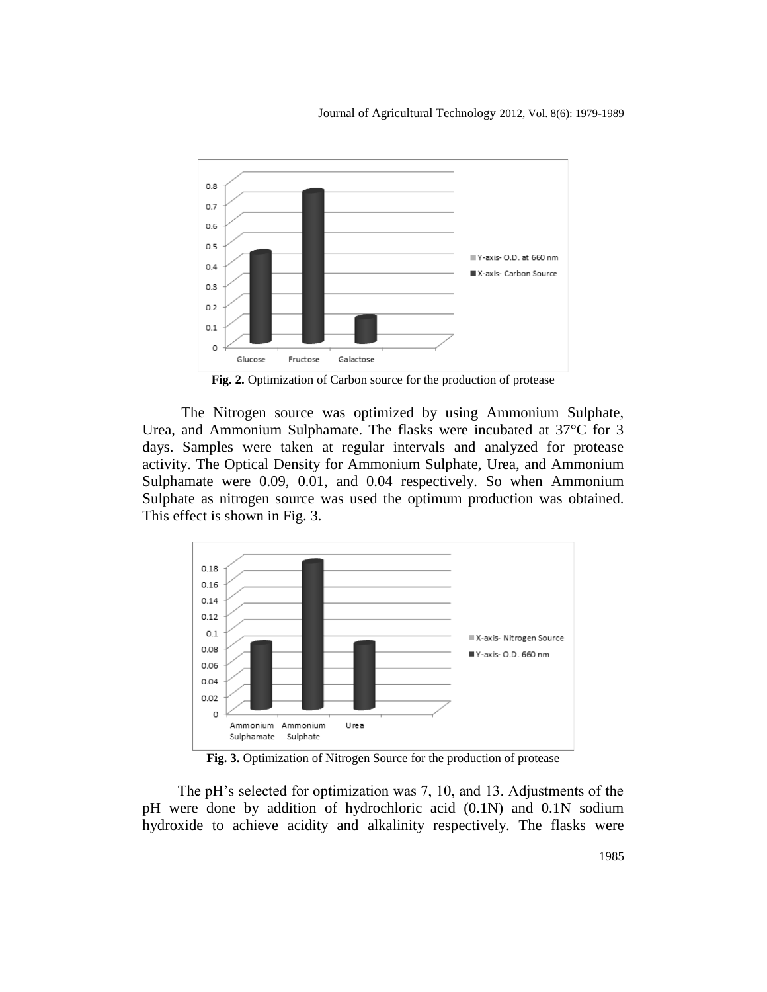Journal of Agricultural Technology 2012, Vol. 8(6): 1979-1989



**Fig. 2.** Optimization of Carbon source for the production of protease

The Nitrogen source was optimized by using Ammonium Sulphate, Urea, and Ammonium Sulphamate. The flasks were incubated at 37°C for 3 days. Samples were taken at regular intervals and analyzed for protease activity. The Optical Density for Ammonium Sulphate, Urea, and Ammonium Sulphamate were 0.09, 0.01, and 0.04 respectively. So when Ammonium Sulphate as nitrogen source was used the optimum production was obtained. This effect is shown in Fig. 3.



**Fig. 3.** Optimization of Nitrogen Source for the production of protease

The pH's selected for optimization was 7, 10, and 13. Adjustments of the pH were done by addition of hydrochloric acid (0.1N) and 0.1N sodium hydroxide to achieve acidity and alkalinity respectively. The flasks were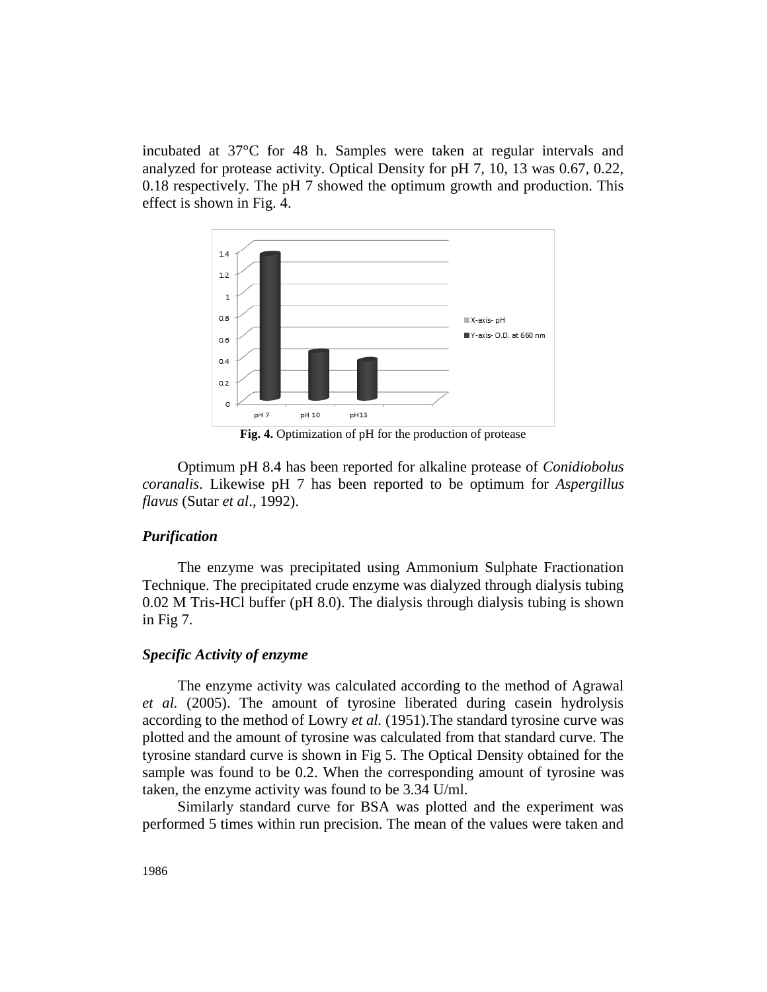incubated at 37°C for 48 h. Samples were taken at regular intervals and analyzed for protease activity. Optical Density for pH 7, 10, 13 was 0.67, 0.22, 0.18 respectively. The pH 7 showed the optimum growth and production. This effect is shown in Fig. 4.



**Fig. 4.** Optimization of pH for the production of protease

Optimum pH 8.4 has been reported for alkaline protease of *Conidiobolus coranalis*. Likewise pH 7 has been reported to be optimum for *Aspergillus flavus* (Sutar *et al*., 1992).

# *Purification*

The enzyme was precipitated using Ammonium Sulphate Fractionation Technique. The precipitated crude enzyme was dialyzed through dialysis tubing 0.02 M Tris-HCl buffer (pH 8.0). The dialysis through dialysis tubing is shown in Fig 7.

# *Specific Activity of enzyme*

The enzyme activity was calculated according to the method of Agrawal *et al.* (2005). The amount of tyrosine liberated during casein hydrolysis according to the method of Lowry *et al.* (1951).The standard tyrosine curve was plotted and the amount of tyrosine was calculated from that standard curve. The tyrosine standard curve is shown in Fig 5. The Optical Density obtained for the sample was found to be 0.2. When the corresponding amount of tyrosine was taken, the enzyme activity was found to be 3.34 U/ml.

Similarly standard curve for BSA was plotted and the experiment was performed 5 times within run precision. The mean of the values were taken and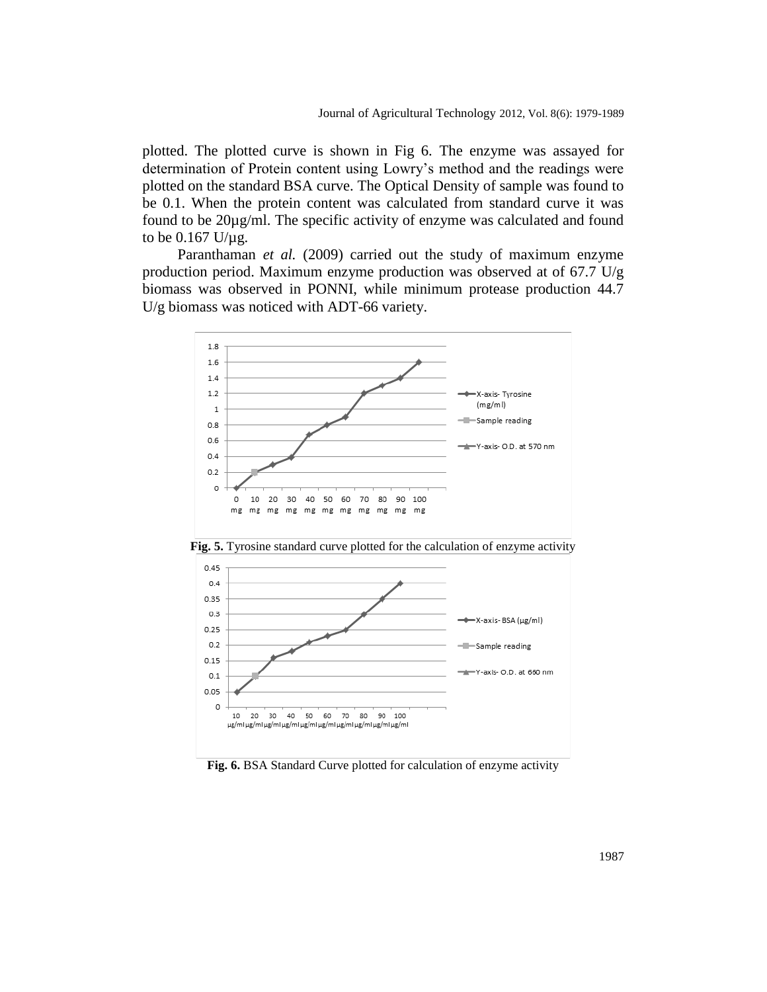plotted. The plotted curve is shown in Fig 6. The enzyme was assayed for determination of Protein content using Lowry's method and the readings were plotted on the standard BSA curve. The Optical Density of sample was found to be 0.1. When the protein content was calculated from standard curve it was found to be 20µg/ml. The specific activity of enzyme was calculated and found to be 0.167 U/µg.

Paranthaman *et al.* (2009) carried out the study of maximum enzyme production period. Maximum enzyme production was observed at of 67.7 U/g biomass was observed in PONNI, while minimum protease production 44.7 U/g biomass was noticed with ADT-66 variety.



**Fig. 6.** BSA Standard Curve plotted for calculation of enzyme activity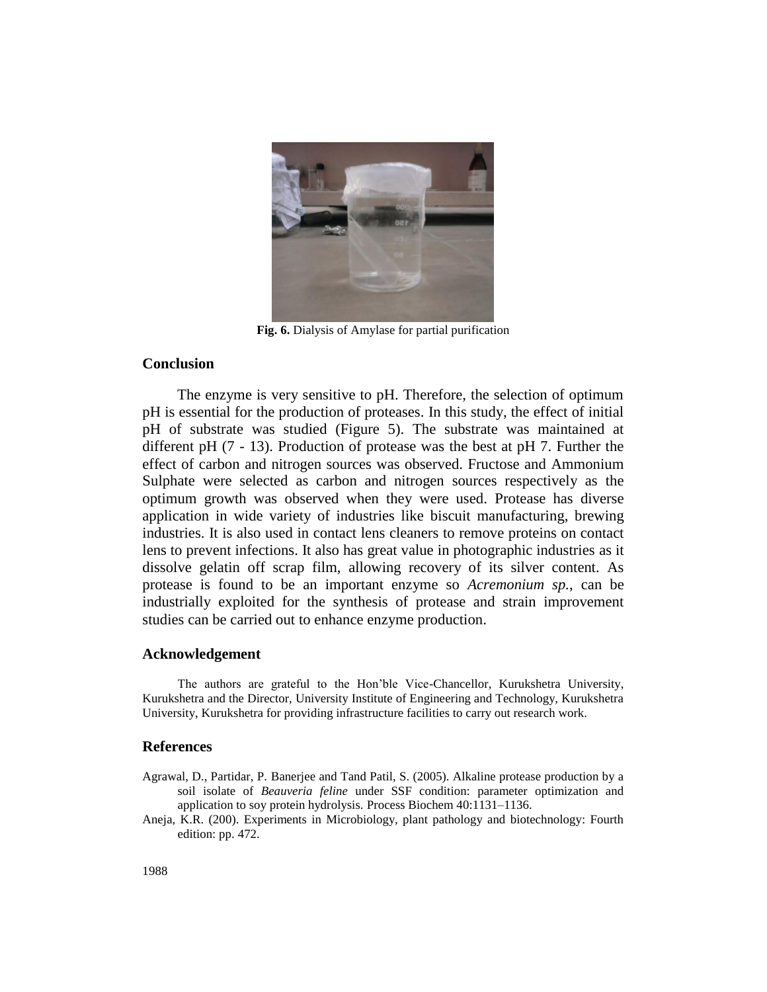

**Fig. 6.** Dialysis of Amylase for partial purification

#### **Conclusion**

The enzyme is very sensitive to pH. Therefore, the selection of optimum pH is essential for the production of proteases. In this study, the effect of initial pH of substrate was studied (Figure 5). The substrate was maintained at different pH (7 - 13). Production of protease was the best at pH 7. Further the effect of carbon and nitrogen sources was observed. Fructose and Ammonium Sulphate were selected as carbon and nitrogen sources respectively as the optimum growth was observed when they were used. Protease has diverse application in wide variety of industries like biscuit manufacturing, brewing industries. It is also used in contact lens cleaners to remove proteins on contact lens to prevent infections. It also has great value in photographic industries as it dissolve gelatin off scrap film, allowing recovery of its silver content. As protease is found to be an important enzyme so *Acremonium sp.*, can be industrially exploited for the synthesis of protease and strain improvement studies can be carried out to enhance enzyme production.

#### **Acknowledgement**

The authors are grateful to the Hon'ble Vice-Chancellor, Kurukshetra University, Kurukshetra and the Director, University Institute of Engineering and Technology, Kurukshetra University, Kurukshetra for providing infrastructure facilities to carry out research work.

#### **References**

- Agrawal, D., Partidar, P. Banerjee and Tand Patil, S. (2005). Alkaline protease production by a soil isolate of *Beauveria feline* under SSF condition: parameter optimization and application to soy protein hydrolysis. Process Biochem 40:1131–1136.
- Aneja, K.R. (200). Experiments in Microbiology, plant pathology and biotechnology: Fourth edition: pp. 472.